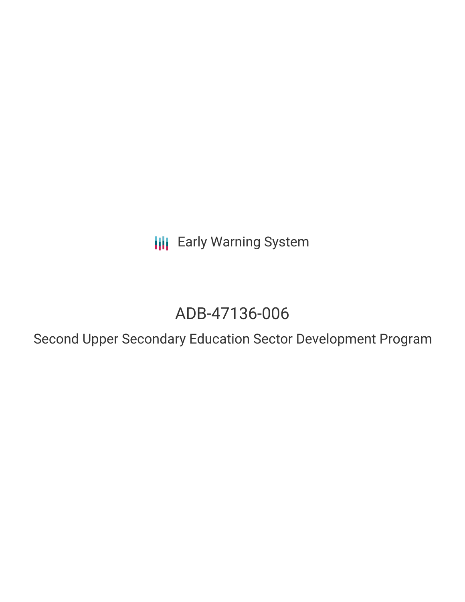**III** Early Warning System

# ADB-47136-006

Second Upper Secondary Education Sector Development Program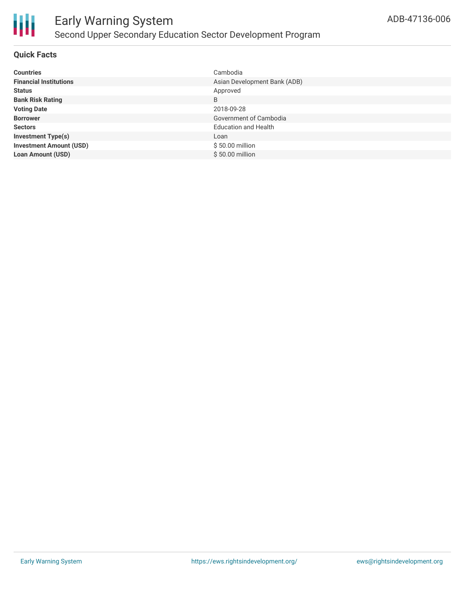

#### **Quick Facts**

| <b>Countries</b>               | Cambodia                     |
|--------------------------------|------------------------------|
| <b>Financial Institutions</b>  | Asian Development Bank (ADB) |
| <b>Status</b>                  | Approved                     |
| <b>Bank Risk Rating</b>        | B                            |
| <b>Voting Date</b>             | 2018-09-28                   |
| <b>Borrower</b>                | Government of Cambodia       |
| <b>Sectors</b>                 | <b>Education and Health</b>  |
| <b>Investment Type(s)</b>      | Loan                         |
| <b>Investment Amount (USD)</b> | \$50.00 million              |
| <b>Loan Amount (USD)</b>       | \$50.00 million              |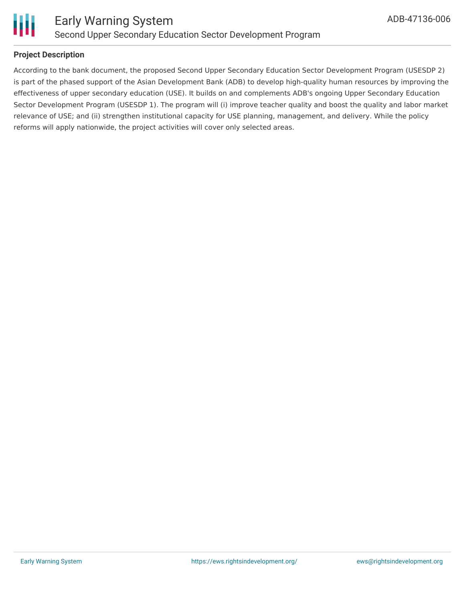

#### **Project Description**

According to the bank document, the proposed Second Upper Secondary Education Sector Development Program (USESDP 2) is part of the phased support of the Asian Development Bank (ADB) to develop high-quality human resources by improving the effectiveness of upper secondary education (USE). It builds on and complements ADB's ongoing Upper Secondary Education Sector Development Program (USESDP 1). The program will (i) improve teacher quality and boost the quality and labor market relevance of USE; and (ii) strengthen institutional capacity for USE planning, management, and delivery. While the policy reforms will apply nationwide, the project activities will cover only selected areas.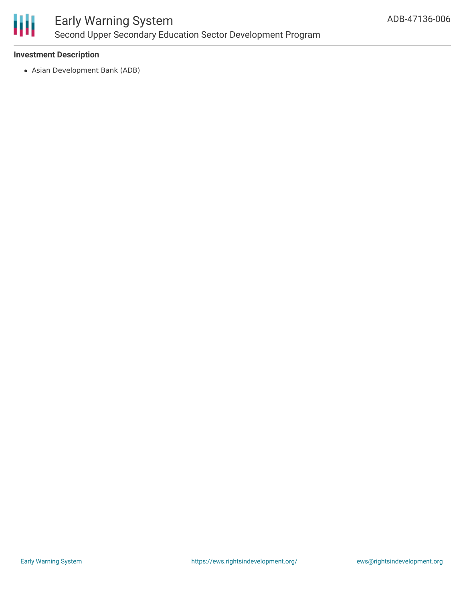

# Early Warning System Second Upper Secondary Education Sector Development Program

#### **Investment Description**

Asian Development Bank (ADB)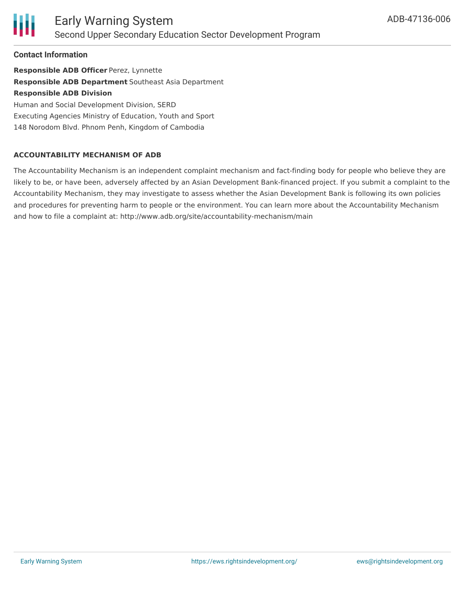

**Contact Information**

**Responsible ADB Officer** Perez, Lynnette **Responsible ADB Department** Southeast Asia Department **Responsible ADB Division** Human and Social Development Division, SERD Executing Agencies Ministry of Education, Youth and Sport 148 Norodom Blvd. Phnom Penh, Kingdom of Cambodia

#### **ACCOUNTABILITY MECHANISM OF ADB**

The Accountability Mechanism is an independent complaint mechanism and fact-finding body for people who believe they are likely to be, or have been, adversely affected by an Asian Development Bank-financed project. If you submit a complaint to the Accountability Mechanism, they may investigate to assess whether the Asian Development Bank is following its own policies and procedures for preventing harm to people or the environment. You can learn more about the Accountability Mechanism and how to file a complaint at: http://www.adb.org/site/accountability-mechanism/main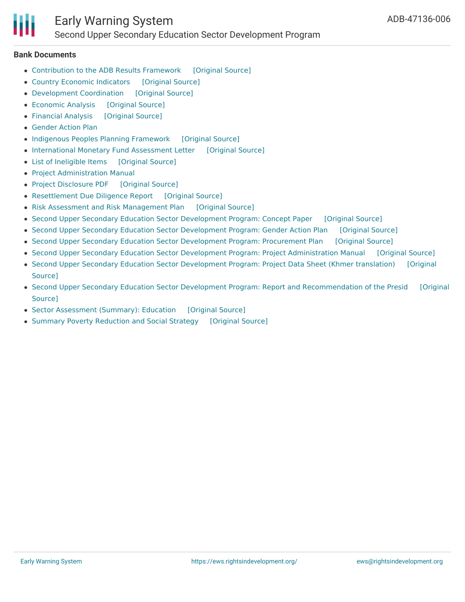

### Early Warning System Second Upper Secondary Education Sector Development Program

#### **Bank Documents**

- [Contribution](https://ewsdata.rightsindevelopment.org/files/documents/06/ADB-47136-006_cL416qt.pdf) to the ADB Results Framework [\[Original](https://www.adb.org/projects/documents/cam-47136-006-rrp) Source]
- Country Economic [Indicators](https://ewsdata.rightsindevelopment.org/files/documents/06/ADB-47136-006_skbuLcT.pdf) [\[Original](https://www.adb.org/projects/documents/cam-47136-006-rrp) Source]
- [Development](https://ewsdata.rightsindevelopment.org/files/documents/06/ADB-47136-006_fgg73xD.pdf) Coordination [\[Original](https://www.adb.org/projects/documents/cam-47136-006-rrp) Source]
- [Economic](https://ewsdata.rightsindevelopment.org/files/documents/06/ADB-47136-006_IEDgM2S.pdf) Analysis [\[Original](https://www.adb.org/projects/documents/cam-47136-006-rrp) Source]
- [Financial](https://ewsdata.rightsindevelopment.org/files/documents/06/ADB-47136-006_E7zAcRZ.pdf) Analysis [\[Original](https://www.adb.org/projects/documents/cam-47136-006-rrp) Source]
- [Gender](https://www.adb.org/projects/documents/cam-47136-006-rrp) Action Plan
- Indigenous Peoples Planning [Framework](https://ewsdata.rightsindevelopment.org/files/documents/06/ADB-47136-006_xQahFhZ.pdf) [\[Original](https://www.adb.org/projects/documents/cam-47136-006-rrp) Source]
- [International](https://ewsdata.rightsindevelopment.org/files/documents/06/ADB-47136-006_4x1cegR.pdf) Monetary Fund Assessment Letter [\[Original](https://www.adb.org/projects/documents/cam-47136-006-rrp) Source]
- List of [Ineligible](https://ewsdata.rightsindevelopment.org/files/documents/06/ADB-47136-006_710F8C1.pdf) Items [\[Original](https://www.adb.org/projects/documents/cam-47136-006-rrp) Source]
- Project [Administration](https://www.adb.org/projects/documents/cam-47136-006-rrp) Manual
- Project [Disclosure](https://ewsdata.rightsindevelopment.org/files/documents/06/ADB-47136-006.pdf) PDF [\[Original](https://www.adb.org/printpdf/projects/47136-006/main) Source]
- [Resettlement](https://ewsdata.rightsindevelopment.org/files/documents/06/ADB-47136-006_ofb4bC1.pdf) Due Diligence Report [\[Original](https://www.adb.org/projects/documents/cam-47136-006-rrp) Source]
- Risk Assessment and Risk [Management](https://ewsdata.rightsindevelopment.org/files/documents/06/ADB-47136-006_kMhGZc6.pdf) Plan [\[Original](https://www.adb.org/projects/documents/cam-47136-006-rrp) Source]
- Second Upper Secondary Education Sector [Development](https://ewsdata.rightsindevelopment.org/files/documents/06/ADB-47136-006_nblxWJB.pdf) Program: Concept Paper [\[Original](https://www.adb.org/projects/documents/cam-47136-006-cp) Source]
- Second Upper Secondary Education Sector [Development](https://ewsdata.rightsindevelopment.org/files/documents/06/ADB-47136-006_twpom28.pdf) Program: Gender Action Plan [\[Original](https://www.adb.org/projects/documents/cam-47136-006-gap) Source]
- Second Upper Secondary Education Sector [Development](https://ewsdata.rightsindevelopment.org/files/documents/06/ADB-47136-006_nNOc99Z.pdf) Program: Procurement Plan [\[Original](https://www.adb.org/projects/documents/cam-47136-006-pp) Source]
- Second Upper Secondary Education Sector Development Program: Project [Administration](https://ewsdata.rightsindevelopment.org/files/documents/06/ADB-47136-006_pSppNp5.pdf) Manual [\[Original](https://www.adb.org/projects/documents/cam-47136-006-pam) Source]
- Second Upper Secondary Education Sector [Development](https://www.adb.org/km/projects/documents/cam-47136-006-pds) Program: Project Data Sheet (Khmer translation) [Original Source]
- Second Upper Secondary Education Sector Development Program: Report and [Recommendation](https://www.adb.org/projects/documents/cam-47136-006-rrp) of the Presid [Original Source]
- Sector [Assessment](https://ewsdata.rightsindevelopment.org/files/documents/06/ADB-47136-006_kvhlxdA.pdf) (Summary): Education [\[Original](https://www.adb.org/projects/documents/cam-47136-006-rrp) Source]
- Summary Poverty [Reduction](https://ewsdata.rightsindevelopment.org/files/documents/06/ADB-47136-006_0lNX3lB.pdf) and Social Strategy [\[Original](https://www.adb.org/projects/documents/cam-47136-006-rrp) Source]